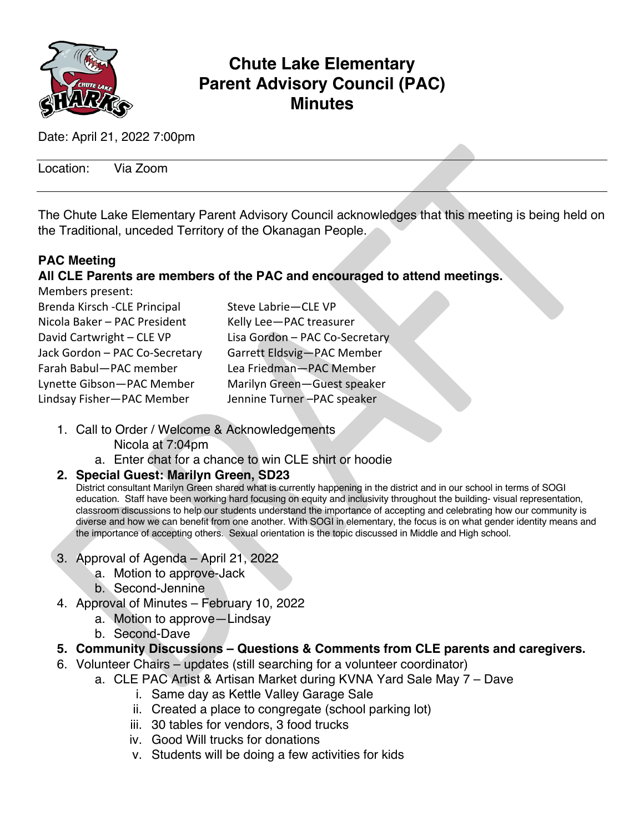

## **Chute Lake Elementary Parent Advisory Council (PAC) Minutes**

Date: April 21, 2022 7:00pm

Location: Via Zoom

The Chute Lake Elementary Parent Advisory Council acknowledges that this meeting is being held on the Traditional, unceded Territory of the Okanagan People.

## **PAC Meeting**

## **All CLE Parents are members of the PAC and encouraged to attend meetings.**

| Steve Labrie-CLE VP            |
|--------------------------------|
| Kelly Lee-PAC treasurer        |
| Lisa Gordon - PAC Co-Secretary |
| Garrett Eldsvig-PAC Member     |
| Lea Friedman-PAC Member        |
| Marilyn Green-Guest speaker    |
| Jennine Turner-PAC speaker     |
|                                |

- 1. Call to Order / Welcome & Acknowledgements Nicola at 7:04pm
	- a. Enter chat for a chance to win CLE shirt or hoodie

## **2. Special Guest: Marilyn Green, SD23**

District consultant Marilyn Green shared what is currently happening in the district and in our school in terms of SOGI education. Staff have been working hard focusing on equity and inclusivity throughout the building- visual representation, classroom discussions to help our students understand the importance of accepting and celebrating how our community is diverse and how we can benefit from one another. With SOGI in elementary, the focus is on what gender identity means and the importance of accepting others. Sexual orientation is the topic discussed in Middle and High school.

- 3. Approval of Agenda April 21, 2022
	- a. Motion to approve-Jack
	- b. Second-Jennine
- 4. Approval of Minutes February 10, 2022
	- a. Motion to approve—Lindsay
	- b. Second-Dave
- **5. Community Discussions – Questions & Comments from CLE parents and caregivers.**
- 6. Volunteer Chairs updates (still searching for a volunteer coordinator)
	- a. CLE PAC Artist & Artisan Market during KVNA Yard Sale May 7 Dave
		- i. Same day as Kettle Valley Garage Sale
		- ii. Created a place to congregate (school parking lot)
		- iii. 30 tables for vendors, 3 food trucks
		- iv. Good Will trucks for donations
		- v. Students will be doing a few activities for kids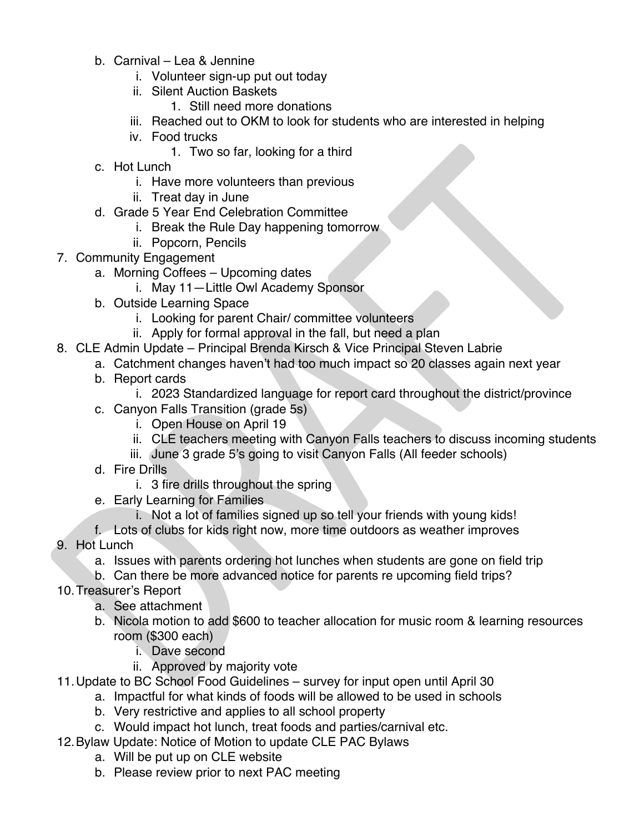- b. Carnival Lea & Jennine
	- i. Volunteer sign-up put out today
	- ii. Silent Auction Baskets
		- 1. Still need more donations
	- iii. Reached out to OKM to look for students who are interested in helping
	- iv. Food trucks
		- 1. Two so far, looking for a third
- c. Hot Lunch
	- i. Have more volunteers than previous
	- ii. Treat day in June
- d. Grade 5 Year End Celebration Committee
	- i. Break the Rule Day happening tomorrow
	- ii. Popcorn, Pencils
- 7. Community Engagement
	- a. Morning Coffees Upcoming dates
		- i. May 11—Little Owl Academy Sponsor
	- b. Outside Learning Space
		- i. Looking for parent Chair/ committee volunteers
		- ii. Apply for formal approval in the fall, but need a plan
- 8. CLE Admin Update Principal Brenda Kirsch & Vice Principal Steven Labrie
	- a. Catchment changes haven't had too much impact so 20 classes again next year
	- b. Report cards
		- i. 2023 Standardized language for report card throughout the district/province
	- c. Canyon Falls Transition (grade 5s)
		- i. Open House on April 19
		- ii. CLE teachers meeting with Canyon Falls teachers to discuss incoming students
		- iii. June 3 grade 5's going to visit Canyon Falls (All feeder schools)
	- d. Fire Drills
		- i. 3 fire drills throughout the spring
	- e. Early Learning for Families
		- i. Not a lot of families signed up so tell your friends with young kids!
- f. Lots of clubs for kids right now, more time outdoors as weather improves 9. Hot Lunch
	- a. Issues with parents ordering hot lunches when students are gone on field trip
	- b. Can there be more advanced notice for parents re upcoming field trips?
- 10.Treasurer's Report
	- a. See attachment
	- b. Nicola motion to add \$600 to teacher allocation for music room & learning resources room (\$300 each)
		- i. Dave second
		- ii. Approved by majority vote
- 11.Update to BC School Food Guidelines survey for input open until April 30
	- a. Impactful for what kinds of foods will be allowed to be used in schools
	- b. Very restrictive and applies to all school property
	- c. Would impact hot lunch, treat foods and parties/carnival etc.
- 12.Bylaw Update: Notice of Motion to update CLE PAC Bylaws
	- a. Will be put up on CLE website
	- b. Please review prior to next PAC meeting